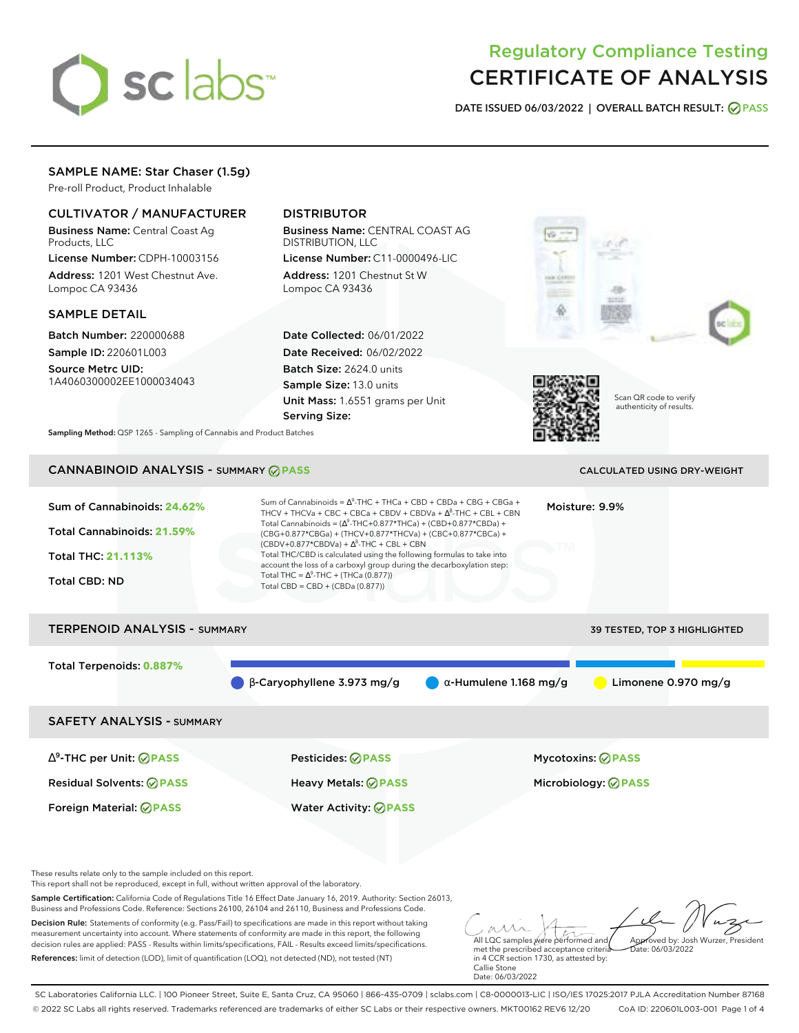# sclabs<sup>\*</sup>

# Regulatory Compliance Testing CERTIFICATE OF ANALYSIS

**DATE ISSUED 06/03/2022 | OVERALL BATCH RESULT: PASS**

# SAMPLE NAME: Star Chaser (1.5g)

Pre-roll Product, Product Inhalable

# CULTIVATOR / MANUFACTURER

Business Name: Central Coast Ag Products, LLC

License Number: CDPH-10003156 Address: 1201 West Chestnut Ave. Lompoc CA 93436

# SAMPLE DETAIL

Batch Number: 220000688 Sample ID: 220601L003

Source Metrc UID: 1A4060300002EE1000034043

# DISTRIBUTOR

Business Name: CENTRAL COAST AG DISTRIBUTION, LLC

License Number: C11-0000496-LIC Address: 1201 Chestnut St W Lompoc CA 93436

Date Collected: 06/01/2022 Date Received: 06/02/2022 Batch Size: 2624.0 units Sample Size: 13.0 units Unit Mass: 1.6551 grams per Unit Serving Size:





Scan QR code to verify authenticity of results.

**Sampling Method:** QSP 1265 - Sampling of Cannabis and Product Batches

# CANNABINOID ANALYSIS - SUMMARY **PASS** CALCULATED USING DRY-WEIGHT

| Sum of Cannabinoids: 24.62%<br>Total Cannabinoids: 21.59%<br>Total THC: 21.113%<br><b>Total CBD: ND</b> | Sum of Cannabinoids = $\Delta^9$ -THC + THCa + CBD + CBDa + CBG + CBGa +<br>Moisture: 9.9%<br>THCV + THCVa + CBC + CBCa + CBDV + CBDVa + $\Delta^8$ -THC + CBL + CBN<br>Total Cannabinoids = $(\Delta^9$ -THC+0.877*THCa) + (CBD+0.877*CBDa) +<br>(CBG+0.877*CBGa) + (THCV+0.877*THCVa) + (CBC+0.877*CBCa) +<br>$(CBDV+0.877*CBDVa) + \Delta^8$ -THC + CBL + CBN<br>Total THC/CBD is calculated using the following formulas to take into<br>account the loss of a carboxyl group during the decarboxylation step:<br>Total THC = $\Delta^9$ -THC + (THCa (0.877))<br>Total CBD = CBD + (CBDa (0.877)) |                               |                            |  |  |
|---------------------------------------------------------------------------------------------------------|--------------------------------------------------------------------------------------------------------------------------------------------------------------------------------------------------------------------------------------------------------------------------------------------------------------------------------------------------------------------------------------------------------------------------------------------------------------------------------------------------------------------------------------------------------------------------------------------------------|-------------------------------|----------------------------|--|--|
| <b>TERPENOID ANALYSIS - SUMMARY</b><br><b>39 TESTED, TOP 3 HIGHLIGHTED</b>                              |                                                                                                                                                                                                                                                                                                                                                                                                                                                                                                                                                                                                        |                               |                            |  |  |
| Total Terpenoids: 0.887%                                                                                | $\beta$ -Caryophyllene 3.973 mg/g                                                                                                                                                                                                                                                                                                                                                                                                                                                                                                                                                                      | $\alpha$ -Humulene 1.168 mg/g | Limonene $0.970$ mg/g      |  |  |
| <b>SAFETY ANALYSIS - SUMMARY</b>                                                                        |                                                                                                                                                                                                                                                                                                                                                                                                                                                                                                                                                                                                        |                               |                            |  |  |
| $\Delta^9$ -THC per Unit: $\bigcirc$ PASS                                                               | Pesticides: ⊘PASS                                                                                                                                                                                                                                                                                                                                                                                                                                                                                                                                                                                      |                               | <b>Mycotoxins: ⊘PASS</b>   |  |  |
| <b>Residual Solvents: ⊘PASS</b>                                                                         | Heavy Metals: ⊘PASS                                                                                                                                                                                                                                                                                                                                                                                                                                                                                                                                                                                    |                               | Microbiology: <b>⊘PASS</b> |  |  |
| Foreign Material: <b>⊘ PASS</b>                                                                         | <b>Water Activity: ⊘PASS</b>                                                                                                                                                                                                                                                                                                                                                                                                                                                                                                                                                                           |                               |                            |  |  |

These results relate only to the sample included on this report.

This report shall not be reproduced, except in full, without written approval of the laboratory.

Sample Certification: California Code of Regulations Title 16 Effect Date January 16, 2019. Authority: Section 26013, Business and Professions Code. Reference: Sections 26100, 26104 and 26110, Business and Professions Code.

Decision Rule: Statements of conformity (e.g. Pass/Fail) to specifications are made in this report without taking measurement uncertainty into account. Where statements of conformity are made in this report, the following decision rules are applied: PASS - Results within limits/specifications, FAIL - Results exceed limits/specifications. References: limit of detection (LOD), limit of quantification (LOQ), not detected (ND), not tested (NT)

All LQC samples were performed and Approved by: Josh Wurzer, President Date: 06/03/2022

met the prescribed acceptance criteria in 4 CCR section 1730, as attested by: Callie Stone Date: 06/03/2022

SC Laboratories California LLC. | 100 Pioneer Street, Suite E, Santa Cruz, CA 95060 | 866-435-0709 | sclabs.com | C8-0000013-LIC | ISO/IES 17025:2017 PJLA Accreditation Number 87168 © 2022 SC Labs all rights reserved. Trademarks referenced are trademarks of either SC Labs or their respective owners. MKT00162 REV6 12/20 CoA ID: 220601L003-001 Page 1 of 4